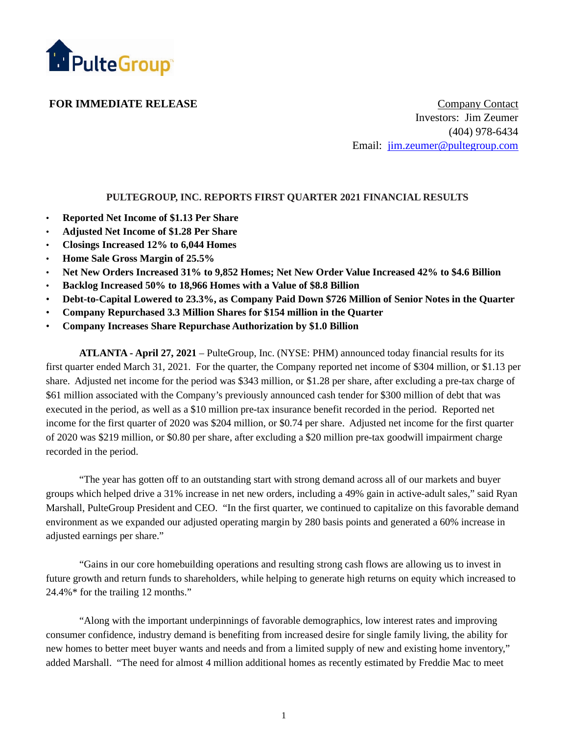

**FOR IMMEDIATE RELEASE COMPANY** Company Contact Investors: Jim Zeumer (404) 978-6434 Email: jim.zeumer@pultegroup.com

#### **PULTEGROUP, INC. REPORTS FIRST QUARTER 2021 FINANCIAL RESULTS**

- **Reported Net Income of \$1.13 Per Share**
- **Adjusted Net Income of \$1.28 Per Share**
- **Closings Increased 12% to 6,044 Homes**
- **Home Sale Gross Margin of 25.5%**
- **Net New Orders Increased 31% to 9,852 Homes; Net New Order Value Increased 42% to \$4.6 Billion**
- **Backlog Increased 50% to 18,966 Homes with a Value of \$8.8 Billion**
- **Debt-to-Capital Lowered to 23.3%, as Company Paid Down \$726 Million of Senior Notes in the Quarter**
- **Company Repurchased 3.3 Million Shares for \$154 million in the Quarter**
- **Company Increases Share Repurchase Authorization by \$1.0 Billion**

**ATLANTA - April 27, 2021** – PulteGroup, Inc. (NYSE: PHM) announced today financial results for its first quarter ended March 31, 2021. For the quarter, the Company reported net income of \$304 million, or \$1.13 per share. Adjusted net income for the period was \$343 million, or \$1.28 per share, after excluding a pre-tax charge of \$61 million associated with the Company's previously announced cash tender for \$300 million of debt that was executed in the period, as well as a \$10 million pre-tax insurance benefit recorded in the period. Reported net income for the first quarter of 2020 was \$204 million, or \$0.74 per share. Adjusted net income for the first quarter of 2020 was \$219 million, or \$0.80 per share, after excluding a \$20 million pre-tax goodwill impairment charge recorded in the period.

"The year has gotten off to an outstanding start with strong demand across all of our markets and buyer groups which helped drive a 31% increase in net new orders, including a 49% gain in active-adult sales," said Ryan Marshall, PulteGroup President and CEO. "In the first quarter, we continued to capitalize on this favorable demand environment as we expanded our adjusted operating margin by 280 basis points and generated a 60% increase in adjusted earnings per share."

"Gains in our core homebuilding operations and resulting strong cash flows are allowing us to invest in future growth and return funds to shareholders, while helping to generate high returns on equity which increased to 24.4%\* for the trailing 12 months."

"Along with the important underpinnings of favorable demographics, low interest rates and improving consumer confidence, industry demand is benefiting from increased desire for single family living, the ability for new homes to better meet buyer wants and needs and from a limited supply of new and existing home inventory," added Marshall. "The need for almost 4 million additional homes as recently estimated by Freddie Mac to meet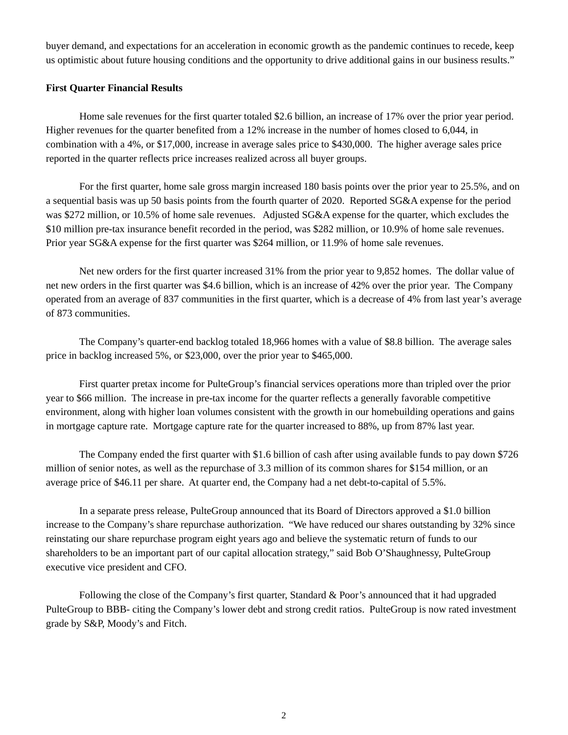buyer demand, and expectations for an acceleration in economic growth as the pandemic continues to recede, keep us optimistic about future housing conditions and the opportunity to drive additional gains in our business results."

#### **First Quarter Financial Results**

Home sale revenues for the first quarter totaled \$2.6 billion, an increase of 17% over the prior year period. Higher revenues for the quarter benefited from a 12% increase in the number of homes closed to 6,044, in combination with a 4%, or \$17,000, increase in average sales price to \$430,000. The higher average sales price reported in the quarter reflects price increases realized across all buyer groups.

For the first quarter, home sale gross margin increased 180 basis points over the prior year to 25.5%, and on a sequential basis was up 50 basis points from the fourth quarter of 2020. Reported SG&A expense for the period was \$272 million, or 10.5% of home sale revenues. Adjusted SG&A expense for the quarter, which excludes the \$10 million pre-tax insurance benefit recorded in the period, was \$282 million, or 10.9% of home sale revenues. Prior year SG&A expense for the first quarter was \$264 million, or 11.9% of home sale revenues.

Net new orders for the first quarter increased 31% from the prior year to 9,852 homes. The dollar value of net new orders in the first quarter was \$4.6 billion, which is an increase of 42% over the prior year. The Company operated from an average of 837 communities in the first quarter, which is a decrease of 4% from last year's average of 873 communities.

The Company's quarter-end backlog totaled 18,966 homes with a value of \$8.8 billion. The average sales price in backlog increased 5%, or \$23,000, over the prior year to \$465,000.

First quarter pretax income for PulteGroup's financial services operations more than tripled over the prior year to \$66 million. The increase in pre-tax income for the quarter reflects a generally favorable competitive environment, along with higher loan volumes consistent with the growth in our homebuilding operations and gains in mortgage capture rate. Mortgage capture rate for the quarter increased to 88%, up from 87% last year.

The Company ended the first quarter with \$1.6 billion of cash after using available funds to pay down \$726 million of senior notes, as well as the repurchase of 3.3 million of its common shares for \$154 million, or an average price of \$46.11 per share. At quarter end, the Company had a net debt-to-capital of 5.5%.

In a separate press release, PulteGroup announced that its Board of Directors approved a \$1.0 billion increase to the Company's share repurchase authorization. "We have reduced our shares outstanding by 32% since reinstating our share repurchase program eight years ago and believe the systematic return of funds to our shareholders to be an important part of our capital allocation strategy," said Bob O'Shaughnessy, PulteGroup executive vice president and CFO.

Following the close of the Company's first quarter, Standard & Poor's announced that it had upgraded PulteGroup to BBB- citing the Company's lower debt and strong credit ratios. PulteGroup is now rated investment grade by S&P, Moody's and Fitch.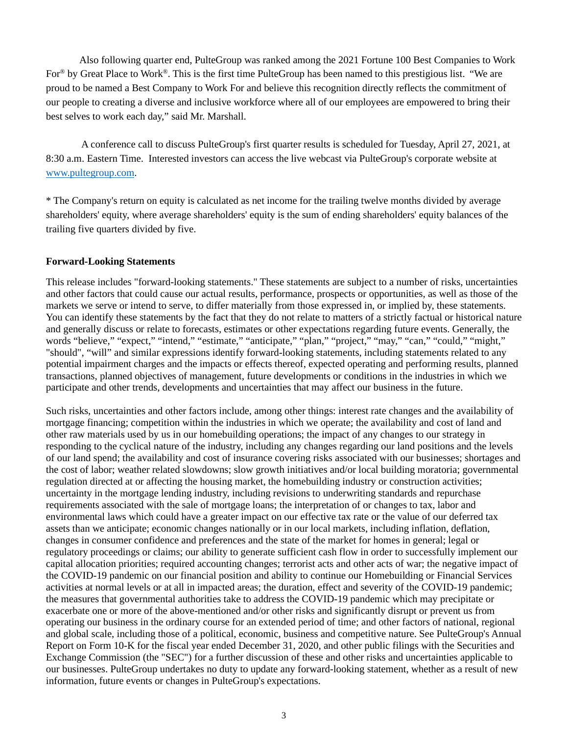Also following quarter end, PulteGroup was ranked among the 2021 Fortune 100 Best Companies to Work For® by Great Place to Work®. This is the first time PulteGroup has been named to this prestigious list. "We are proud to be named a Best Company to Work For and believe this recognition directly reflects the commitment of our people to creating a diverse and inclusive workforce where all of our employees are empowered to bring their best selves to work each day," said Mr. Marshall.

A conference call to discuss PulteGroup's first quarter results is scheduled for Tuesday, April 27, 2021, at 8:30 a.m. Eastern Time. Interested investors can access the live webcast via PulteGroup's corporate website at [www.pultegroup.com.](http://www.pultegroup.com/)

\* The Company's return on equity is calculated as net income for the trailing twelve months divided by average shareholders' equity, where average shareholders' equity is the sum of ending shareholders' equity balances of the trailing five quarters divided by five.

#### **Forward-Looking Statements**

This release includes "forward-looking statements." These statements are subject to a number of risks, uncertainties and other factors that could cause our actual results, performance, prospects or opportunities, as well as those of the markets we serve or intend to serve, to differ materially from those expressed in, or implied by, these statements. You can identify these statements by the fact that they do not relate to matters of a strictly factual or historical nature and generally discuss or relate to forecasts, estimates or other expectations regarding future events. Generally, the words "believe," "expect," "intend," "estimate," "anticipate," "plan," "project," "may," "can," "could," "might," "should", "will" and similar expressions identify forward-looking statements, including statements related to any potential impairment charges and the impacts or effects thereof, expected operating and performing results, planned transactions, planned objectives of management, future developments or conditions in the industries in which we participate and other trends, developments and uncertainties that may affect our business in the future.

Such risks, uncertainties and other factors include, among other things: interest rate changes and the availability of mortgage financing; competition within the industries in which we operate; the availability and cost of land and other raw materials used by us in our homebuilding operations; the impact of any changes to our strategy in responding to the cyclical nature of the industry, including any changes regarding our land positions and the levels of our land spend; the availability and cost of insurance covering risks associated with our businesses; shortages and the cost of labor; weather related slowdowns; slow growth initiatives and/or local building moratoria; governmental regulation directed at or affecting the housing market, the homebuilding industry or construction activities; uncertainty in the mortgage lending industry, including revisions to underwriting standards and repurchase requirements associated with the sale of mortgage loans; the interpretation of or changes to tax, labor and environmental laws which could have a greater impact on our effective tax rate or the value of our deferred tax assets than we anticipate; economic changes nationally or in our local markets, including inflation, deflation, changes in consumer confidence and preferences and the state of the market for homes in general; legal or regulatory proceedings or claims; our ability to generate sufficient cash flow in order to successfully implement our capital allocation priorities; required accounting changes; terrorist acts and other acts of war; the negative impact of the COVID-19 pandemic on our financial position and ability to continue our Homebuilding or Financial Services activities at normal levels or at all in impacted areas; the duration, effect and severity of the COVID-19 pandemic; the measures that governmental authorities take to address the COVID-19 pandemic which may precipitate or exacerbate one or more of the above-mentioned and/or other risks and significantly disrupt or prevent us from operating our business in the ordinary course for an extended period of time; and other factors of national, regional and global scale, including those of a political, economic, business and competitive nature. See PulteGroup's Annual Report on Form 10-K for the fiscal year ended December 31, 2020, and other public filings with the Securities and Exchange Commission (the "SEC") for a further discussion of these and other risks and uncertainties applicable to our businesses. PulteGroup undertakes no duty to update any forward-looking statement, whether as a result of new information, future events or changes in PulteGroup's expectations.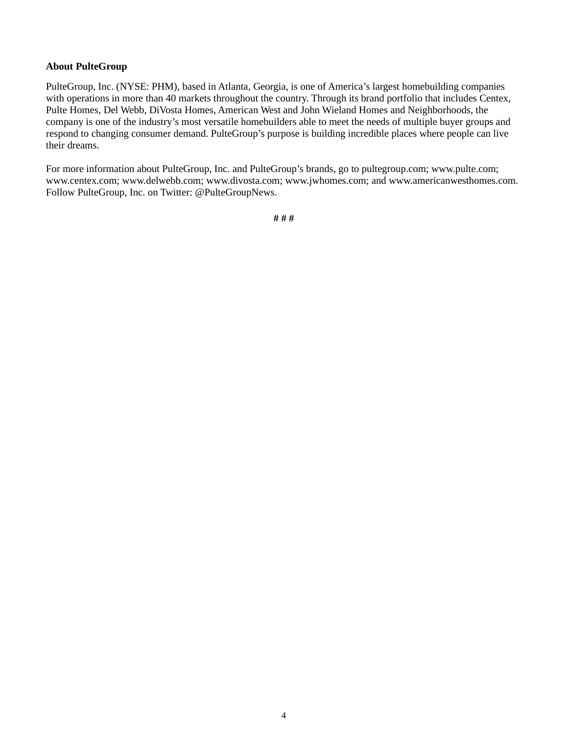#### **About PulteGroup**

PulteGroup, Inc. (NYSE: PHM), based in Atlanta, Georgia, is one of America's largest homebuilding companies with operations in more than 40 markets throughout the country. Through its brand portfolio that includes Centex, Pulte Homes, Del Webb, DiVosta Homes, American West and John Wieland Homes and Neighborhoods, the company is one of the industry's most versatile homebuilders able to meet the needs of multiple buyer groups and respond to changing consumer demand. PulteGroup's purpose is building incredible places where people can live their dreams.

For more information about PulteGroup, Inc. and PulteGroup's brands, go to pultegroup.com; www.pulte.com; www.centex.com; www.delwebb.com; www.divosta.com; www.jwhomes.com; and www.americanwesthomes.com. Follow PulteGroup, Inc. on Twitter: @PulteGroupNews.

**# # #**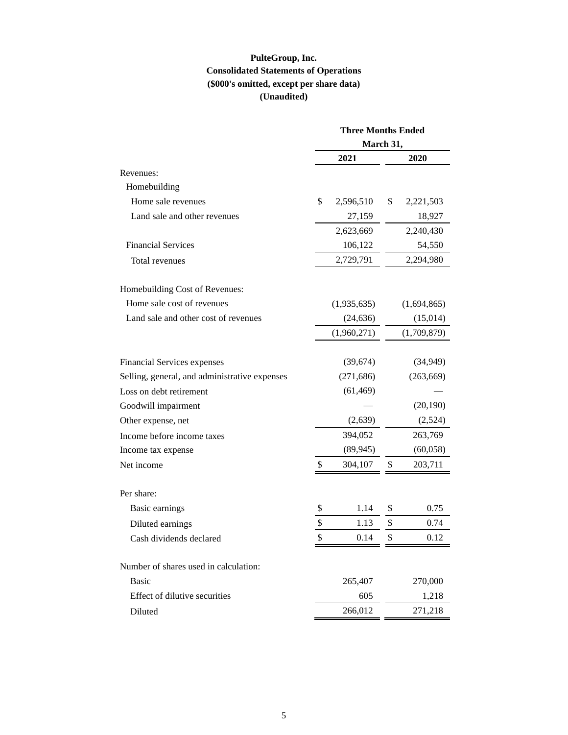## **PulteGroup, Inc. Consolidated Statements of Operations (\$000's omitted, except per share data) (Unaudited)**

| <b>Three Months Ended</b><br>March 31, |             |    |             |  |
|----------------------------------------|-------------|----|-------------|--|
|                                        |             |    |             |  |
|                                        |             |    |             |  |
|                                        |             |    |             |  |
| \$                                     | 2,596,510   | \$ | 2,221,503   |  |
|                                        | 27,159      |    | 18,927      |  |
|                                        | 2,623,669   |    | 2,240,430   |  |
|                                        | 106,122     |    | 54,550      |  |
|                                        | 2,729,791   |    | 2,294,980   |  |
|                                        |             |    |             |  |
|                                        | (1,935,635) |    | (1,694,865) |  |
|                                        | (24, 636)   |    | (15,014)    |  |
|                                        | (1,960,271) |    | (1,709,879) |  |
|                                        | (39, 674)   |    | (34, 949)   |  |
|                                        | (271, 686)  |    | (263, 669)  |  |
|                                        | (61, 469)   |    |             |  |
|                                        |             |    | (20,190)    |  |
|                                        | (2,639)     |    | (2,524)     |  |
|                                        | 394,052     |    | 263,769     |  |
|                                        | (89, 945)   |    | (60,058)    |  |
| \$                                     | 304,107     | \$ | 203,711     |  |
|                                        |             |    |             |  |
| \$                                     | 1.14        | \$ | 0.75        |  |
| \$                                     | 1.13        | \$ | 0.74        |  |
| \$                                     | 0.14        | \$ | 0.12        |  |
|                                        |             |    |             |  |
|                                        | 265,407     |    | 270,000     |  |
|                                        | 605         |    | 1,218       |  |
|                                        | 266,012     |    | 271,218     |  |
|                                        |             |    |             |  |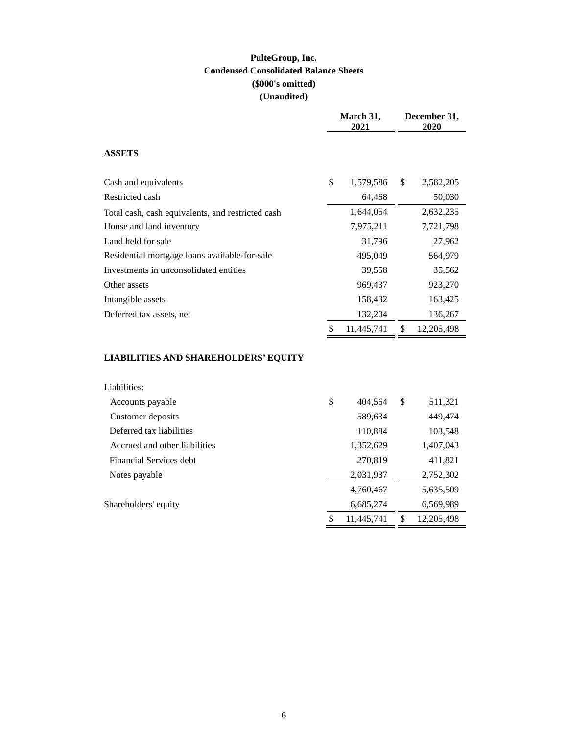## **PulteGroup, Inc. Condensed Consolidated Balance Sheets (\$000's omitted) (Unaudited)**

|                                                   | March 31,<br>2021 |            | December 31,<br>2020 |
|---------------------------------------------------|-------------------|------------|----------------------|
| <b>ASSETS</b>                                     |                   |            |                      |
| Cash and equivalents                              | \$                | 1,579,586  | \$<br>2,582,205      |
| Restricted cash                                   |                   | 64,468     | 50,030               |
| Total cash, cash equivalents, and restricted cash |                   | 1,644,054  | 2,632,235            |
| House and land inventory                          |                   | 7,975,211  | 7,721,798            |
| Land held for sale                                |                   | 31,796     | 27,962               |
| Residential mortgage loans available-for-sale     |                   | 495,049    | 564,979              |
| Investments in unconsolidated entities            |                   | 39,558     | 35,562               |
| Other assets                                      |                   | 969,437    | 923,270              |
| Intangible assets                                 |                   | 158,432    | 163,425              |
| Deferred tax assets, net                          |                   | 132,204    | 136,267              |
|                                                   | \$                | 11,445,741 | \$<br>12,205,498     |
| <b>LIABILITIES AND SHAREHOLDERS' EQUITY</b>       |                   |            |                      |
| Liabilities:                                      |                   |            |                      |
| Accounts payable                                  | \$                | 404,564    | \$<br>511,321        |
| Customer deposits                                 |                   | 589,634    | 449,474              |
| Deferred tax liabilities                          |                   | 110,884    | 103,548              |
| Accrued and other liabilities                     |                   | 1,352,629  | 1,407,043            |
| <b>Financial Services debt</b>                    |                   | 270,819    | 411,821              |
| Notes payable                                     |                   | 2,031,937  | 2,752,302            |
|                                                   |                   | 4,760,467  | 5,635,509            |
| Shareholders' equity                              |                   | 6,685,274  | 6,569,989            |
|                                                   | \$                | 11,445,741 | \$<br>12,205,498     |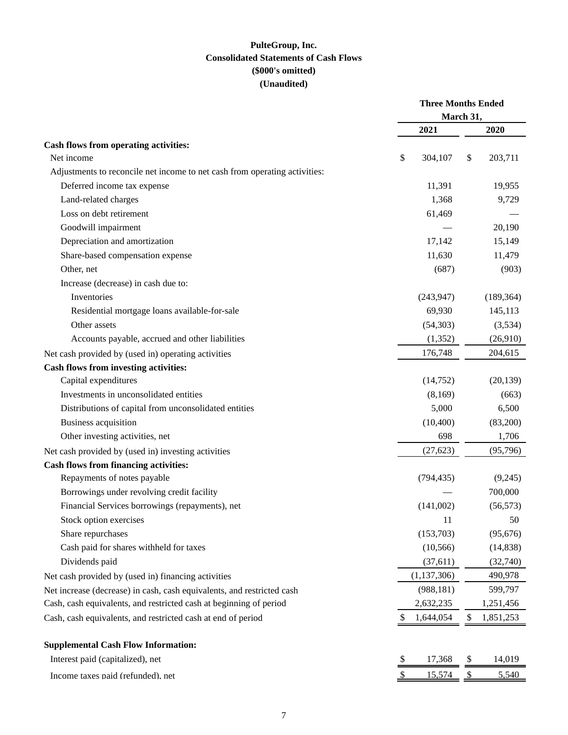## **PulteGroup, Inc. Consolidated Statements of Cash Flows (\$000's omitted) (Unaudited)**

|                                                                            | <b>Three Months Ended</b><br>March 31, |               |    |            |
|----------------------------------------------------------------------------|----------------------------------------|---------------|----|------------|
|                                                                            |                                        |               |    |            |
|                                                                            |                                        | 2021          |    | 2020       |
| Cash flows from operating activities:                                      |                                        |               |    |            |
| Net income                                                                 | \$                                     | 304,107       | \$ | 203,711    |
| Adjustments to reconcile net income to net cash from operating activities: |                                        |               |    |            |
| Deferred income tax expense                                                |                                        | 11,391        |    | 19,955     |
| Land-related charges                                                       |                                        | 1,368         |    | 9,729      |
| Loss on debt retirement                                                    |                                        | 61,469        |    |            |
| Goodwill impairment                                                        |                                        |               |    | 20,190     |
| Depreciation and amortization                                              |                                        | 17,142        |    | 15,149     |
| Share-based compensation expense                                           |                                        | 11,630        |    | 11,479     |
| Other, net                                                                 |                                        | (687)         |    | (903)      |
| Increase (decrease) in cash due to:                                        |                                        |               |    |            |
| Inventories                                                                |                                        | (243, 947)    |    | (189, 364) |
| Residential mortgage loans available-for-sale                              |                                        | 69,930        |    | 145,113    |
| Other assets                                                               |                                        | (54,303)      |    | (3,534)    |
| Accounts payable, accrued and other liabilities                            |                                        | (1,352)       |    | (26,910)   |
| Net cash provided by (used in) operating activities                        |                                        | 176,748       |    | 204,615    |
| Cash flows from investing activities:                                      |                                        |               |    |            |
| Capital expenditures                                                       |                                        | (14,752)      |    | (20, 139)  |
| Investments in unconsolidated entities                                     |                                        | (8,169)       |    | (663)      |
| Distributions of capital from unconsolidated entities                      |                                        | 5,000         |    | 6,500      |
| Business acquisition                                                       |                                        | (10, 400)     |    | (83,200)   |
| Other investing activities, net                                            |                                        | 698           |    | 1,706      |
| Net cash provided by (used in) investing activities                        |                                        | (27, 623)     |    | (95, 796)  |
| <b>Cash flows from financing activities:</b>                               |                                        |               |    |            |
| Repayments of notes payable                                                |                                        | (794, 435)    |    | (9,245)    |
| Borrowings under revolving credit facility                                 |                                        |               |    | 700,000    |
| Financial Services borrowings (repayments), net                            |                                        | (141,002)     |    | (56, 573)  |
| Stock option exercises                                                     |                                        | 11            |    | 50         |
| Share repurchases                                                          |                                        | (153,703)     |    | (95, 676)  |
| Cash paid for shares withheld for taxes                                    |                                        | (10, 566)     |    | (14, 838)  |
| Dividends paid                                                             |                                        | (37, 611)     |    | (32,740)   |
| Net cash provided by (used in) financing activities                        |                                        | (1, 137, 306) |    | 490,978    |
| Net increase (decrease) in cash, cash equivalents, and restricted cash     |                                        | (988, 181)    |    | 599,797    |
| Cash, cash equivalents, and restricted cash at beginning of period         |                                        | 2,632,235     |    | 1,251,456  |
| Cash, cash equivalents, and restricted cash at end of period               | S                                      | 1,644,054     | \$ | 1,851,253  |
| <b>Supplemental Cash Flow Information:</b>                                 |                                        |               |    |            |
| Interest paid (capitalized), net                                           |                                        | 17,368        | \$ | 14,019     |
| Income taxes paid (refunded), net                                          |                                        | 15,574        |    | 5,540      |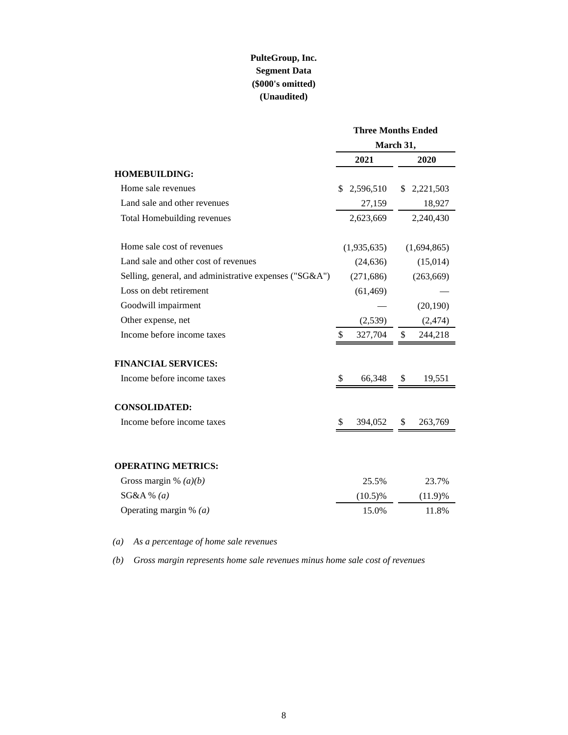## **PulteGroup, Inc. Segment Data (\$000's omitted) (Unaudited)**

|                                                        | <b>Three Months Ended</b> |             |          |             |  |  |  |
|--------------------------------------------------------|---------------------------|-------------|----------|-------------|--|--|--|
|                                                        | March 31,                 |             |          |             |  |  |  |
|                                                        |                           | 2021        |          | 2020        |  |  |  |
| <b>HOMEBUILDING:</b>                                   |                           |             |          |             |  |  |  |
| Home sale revenues                                     | S                         | 2,596,510   | S.       | 2,221,503   |  |  |  |
| Land sale and other revenues                           |                           | 27,159      |          | 18,927      |  |  |  |
| <b>Total Homebuilding revenues</b>                     | 2,623,669                 |             |          | 2,240,430   |  |  |  |
| Home sale cost of revenues                             |                           | (1,935,635) |          | (1,694,865) |  |  |  |
| Land sale and other cost of revenues                   |                           | (24, 636)   | (15,014) |             |  |  |  |
| Selling, general, and administrative expenses ("SG&A") |                           | (271, 686)  |          | (263, 669)  |  |  |  |
| Loss on debt retirement                                |                           | (61, 469)   |          |             |  |  |  |
| Goodwill impairment                                    |                           |             |          | (20, 190)   |  |  |  |
| Other expense, net                                     |                           | (2,539)     |          | (2, 474)    |  |  |  |
| Income before income taxes                             | \$                        | 327,704     | \$       | 244,218     |  |  |  |
| <b>FINANCIAL SERVICES:</b>                             |                           |             |          |             |  |  |  |
| Income before income taxes                             | \$                        | 66,348      | \$       | 19,551      |  |  |  |
| <b>CONSOLIDATED:</b>                                   |                           |             |          |             |  |  |  |
| Income before income taxes                             | S                         | 394,052     | \$       | 263,769     |  |  |  |
|                                                        |                           |             |          |             |  |  |  |
| <b>OPERATING METRICS:</b>                              |                           |             |          |             |  |  |  |
| Gross margin % $(a)(b)$                                |                           | 25.5%       |          | 23.7%       |  |  |  |
| $SG&A\%$ (a)                                           |                           | $(10.5)\%$  |          | (11.9)%     |  |  |  |
| Operating margin % $(a)$                               |                           | 15.0%       |          | 11.8%       |  |  |  |

*(a) As a percentage of home sale revenues*

*(b) Gross margin represents home sale revenues minus home sale cost of revenues*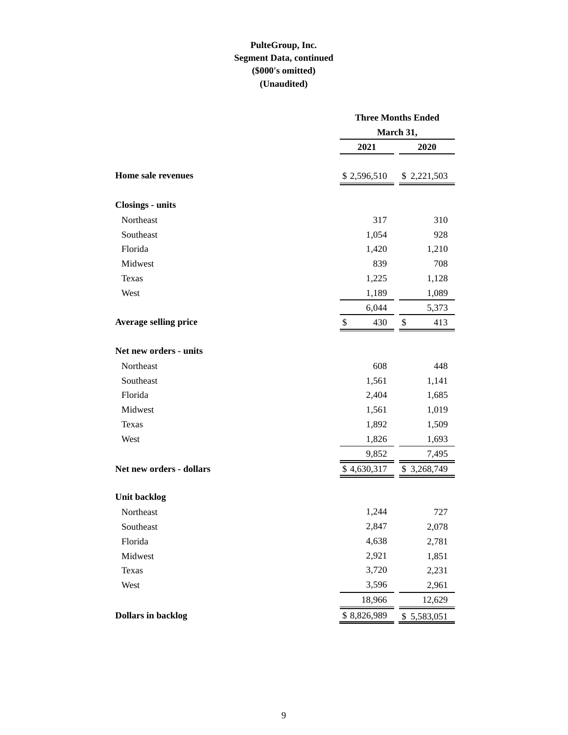## **PulteGroup, Inc. Segment Data, continued (\$000's omitted) (Unaudited)**

|                              |             | <b>Three Months Ended</b> |  |  |  |  |
|------------------------------|-------------|---------------------------|--|--|--|--|
|                              |             | March 31,                 |  |  |  |  |
|                              | 2021        | 2020                      |  |  |  |  |
| Home sale revenues           | \$2,596,510 | \$2,221,503               |  |  |  |  |
| <b>Closings - units</b>      |             |                           |  |  |  |  |
| Northeast                    | 317         | 310                       |  |  |  |  |
| Southeast                    | 1,054       | 928                       |  |  |  |  |
| Florida                      | 1,420       | 1,210                     |  |  |  |  |
| Midwest                      | 839         | 708                       |  |  |  |  |
| Texas                        | 1,225       | 1,128                     |  |  |  |  |
| West                         | 1,189       | 1,089                     |  |  |  |  |
|                              | 6,044       | 5,373                     |  |  |  |  |
| <b>Average selling price</b> | 430<br>\$   | \$<br>413                 |  |  |  |  |
| Net new orders - units       |             |                           |  |  |  |  |
| Northeast                    | 608         | 448                       |  |  |  |  |
| Southeast                    | 1,561       | 1,141                     |  |  |  |  |
| Florida                      | 2,404       | 1,685                     |  |  |  |  |
| Midwest                      | 1,561       | 1,019                     |  |  |  |  |
| Texas                        | 1,892       | 1,509                     |  |  |  |  |
| West                         | 1,826       | 1,693                     |  |  |  |  |
|                              | 9,852       | 7,495                     |  |  |  |  |
| Net new orders - dollars     | \$4,630,317 | \$3,268,749               |  |  |  |  |
| <b>Unit backlog</b>          |             |                           |  |  |  |  |
| Northeast                    | 1,244       | 727                       |  |  |  |  |
| Southeast                    | 2,847       | 2,078                     |  |  |  |  |
| Florida                      | 4,638       | 2,781                     |  |  |  |  |
| Midwest                      | 2,921       | 1,851                     |  |  |  |  |
| Texas                        | 3,720       | 2,231                     |  |  |  |  |
| West                         | 3,596       | 2,961                     |  |  |  |  |
|                              | 18,966      | 12,629                    |  |  |  |  |
| <b>Dollars in backlog</b>    | \$8,826,989 | \$5,583,051               |  |  |  |  |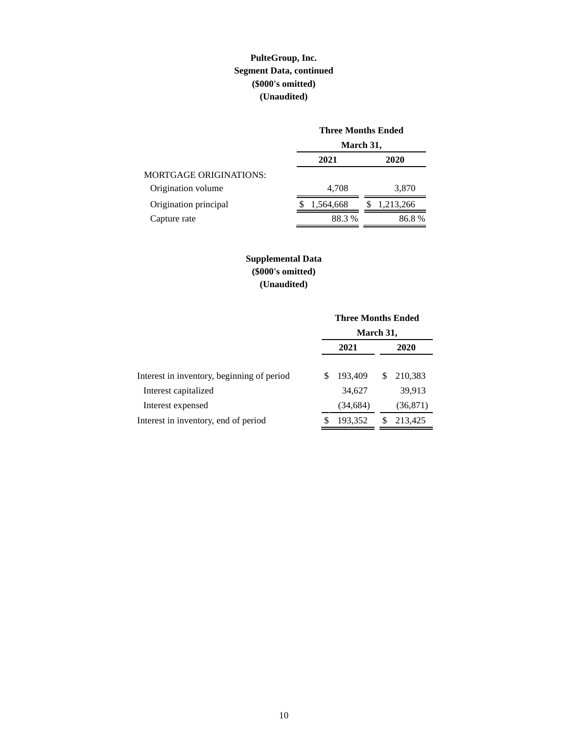## **PulteGroup, Inc. Segment Data, continued (\$000's omitted) (Unaudited)**

|                               | <b>Three Months Ended</b> |           |  |  |  |  |
|-------------------------------|---------------------------|-----------|--|--|--|--|
|                               |                           | March 31, |  |  |  |  |
|                               | 2021                      |           |  |  |  |  |
| <b>MORTGAGE ORIGINATIONS:</b> |                           |           |  |  |  |  |
| Origination volume            | 4,708                     | 3,870     |  |  |  |  |
| Origination principal         | 1,564,668                 | 1,213,266 |  |  |  |  |
| Capture rate                  | 88.3 %                    | 86.8%     |  |  |  |  |

# **Supplemental Data (\$000's omitted) (Unaudited)**

|                                            | <b>Three Months Ended</b><br>March 31, |           |    |           |  |
|--------------------------------------------|----------------------------------------|-----------|----|-----------|--|
|                                            |                                        |           |    |           |  |
|                                            | 2021                                   |           |    | 2020      |  |
|                                            |                                        |           |    |           |  |
| Interest in inventory, beginning of period | S                                      | 193,409   | \$ | 210,383   |  |
| Interest capitalized                       |                                        | 34,627    |    | 39,913    |  |
| Interest expensed                          |                                        | (34, 684) |    | (36, 871) |  |
| Interest in inventory, end of period       |                                        | 193,352   |    | 213,425   |  |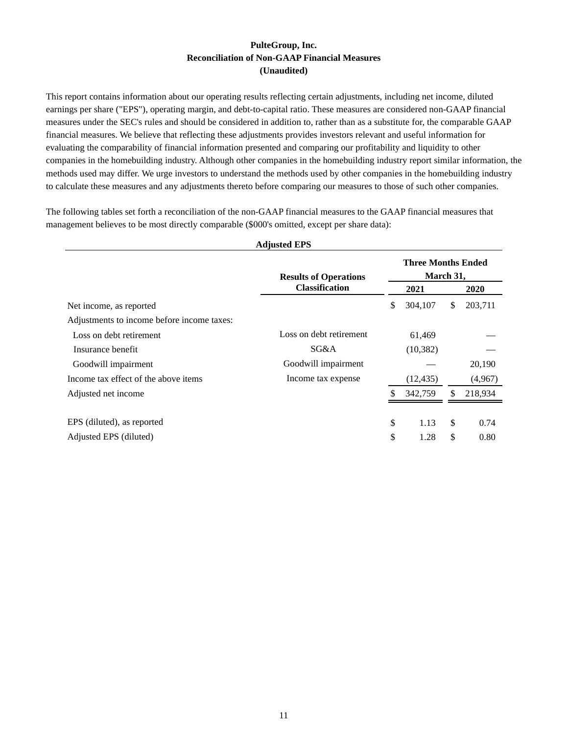#### **PulteGroup, Inc. Reconciliation of Non-GAAP Financial Measures (Unaudited)**

This report contains information about our operating results reflecting certain adjustments, including net income, diluted earnings per share ("EPS"), operating margin, and debt-to-capital ratio. These measures are considered non-GAAP financial measures under the SEC's rules and should be considered in addition to, rather than as a substitute for, the comparable GAAP financial measures. We believe that reflecting these adjustments provides investors relevant and useful information for evaluating the comparability of financial information presented and comparing our profitability and liquidity to other companies in the homebuilding industry. Although other companies in the homebuilding industry report similar information, the methods used may differ. We urge investors to understand the methods used by other companies in the homebuilding industry to calculate these measures and any adjustments thereto before comparing our measures to those of such other companies.

The following tables set forth a reconciliation of the non-GAAP financial measures to the GAAP financial measures that management believes to be most directly comparable (\$000's omitted, except per share data):

|                                            | <b>Adjusted EPS</b>          |    |                                        |               |         |
|--------------------------------------------|------------------------------|----|----------------------------------------|---------------|---------|
|                                            | <b>Results of Operations</b> |    | <b>Three Months Ended</b><br>March 31, |               |         |
|                                            | <b>Classification</b>        |    | 2021                                   |               | 2020    |
| Net income, as reported                    |                              | \$ | 304,107                                | <sup>\$</sup> | 203,711 |
| Adjustments to income before income taxes: |                              |    |                                        |               |         |
| Loss on debt retirement                    | Loss on debt retirement      |    | 61,469                                 |               |         |
| Insurance benefit                          | SG&A                         |    | (10, 382)                              |               |         |
| Goodwill impairment                        | Goodwill impairment          |    |                                        |               | 20,190  |
| Income tax effect of the above items       | Income tax expense           |    | (12, 435)                              |               | (4,967) |
| Adjusted net income                        |                              |    | 342,759                                | \$.           | 218,934 |
|                                            |                              |    |                                        |               |         |
| EPS (diluted), as reported                 |                              | \$ | 1.13                                   | \$            | 0.74    |
| Adjusted EPS (diluted)                     |                              | \$ | 1.28                                   | \$            | 0.80    |

**Adjusted EPS**